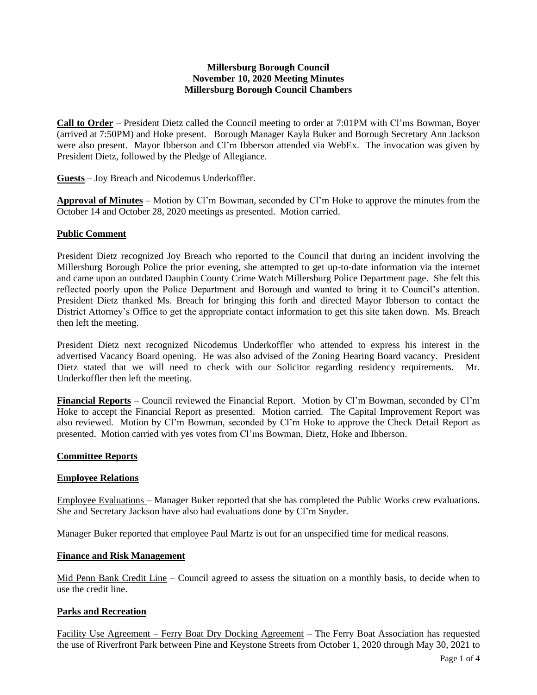### **Millersburg Borough Council November 10, 2020 Meeting Minutes Millersburg Borough Council Chambers**

**Call to Order** – President Dietz called the Council meeting to order at 7:01PM with Cl'ms Bowman, Boyer (arrived at 7:50PM) and Hoke present. Borough Manager Kayla Buker and Borough Secretary Ann Jackson were also present. Mayor Ibberson and Cl'm Ibberson attended via WebEx. The invocation was given by President Dietz, followed by the Pledge of Allegiance.

**Guests** – Joy Breach and Nicodemus Underkoffler.

**Approval of Minutes** – Motion by Cl'm Bowman, seconded by Cl'm Hoke to approve the minutes from the October 14 and October 28, 2020 meetings as presented. Motion carried.

## **Public Comment**

President Dietz recognized Joy Breach who reported to the Council that during an incident involving the Millersburg Borough Police the prior evening, she attempted to get up-to-date information via the internet and came upon an outdated Dauphin County Crime Watch Millersburg Police Department page. She felt this reflected poorly upon the Police Department and Borough and wanted to bring it to Council's attention. President Dietz thanked Ms. Breach for bringing this forth and directed Mayor Ibberson to contact the District Attorney's Office to get the appropriate contact information to get this site taken down. Ms. Breach then left the meeting.

President Dietz next recognized Nicodemus Underkoffler who attended to express his interest in the advertised Vacancy Board opening. He was also advised of the Zoning Hearing Board vacancy. President Dietz stated that we will need to check with our Solicitor regarding residency requirements. Mr. Underkoffler then left the meeting.

**Financial Reports** – Council reviewed the Financial Report. Motion by Cl'm Bowman, seconded by Cl'm Hoke to accept the Financial Report as presented. Motion carried. The Capital Improvement Report was also reviewed. Motion by Cl'm Bowman, seconded by Cl'm Hoke to approve the Check Detail Report as presented. Motion carried with yes votes from Cl'ms Bowman, Dietz, Hoke and Ibberson.

#### **Committee Reports**

#### **Employee Relations**

Employee Evaluations – Manager Buker reported that she has completed the Public Works crew evaluations. She and Secretary Jackson have also had evaluations done by Cl'm Snyder.

Manager Buker reported that employee Paul Martz is out for an unspecified time for medical reasons.

#### **Finance and Risk Management**

Mid Penn Bank Credit Line – Council agreed to assess the situation on a monthly basis, to decide when to use the credit line.

#### **Parks and Recreation**

Facility Use Agreement – Ferry Boat Dry Docking Agreement – The Ferry Boat Association has requested the use of Riverfront Park between Pine and Keystone Streets from October 1, 2020 through May 30, 2021 to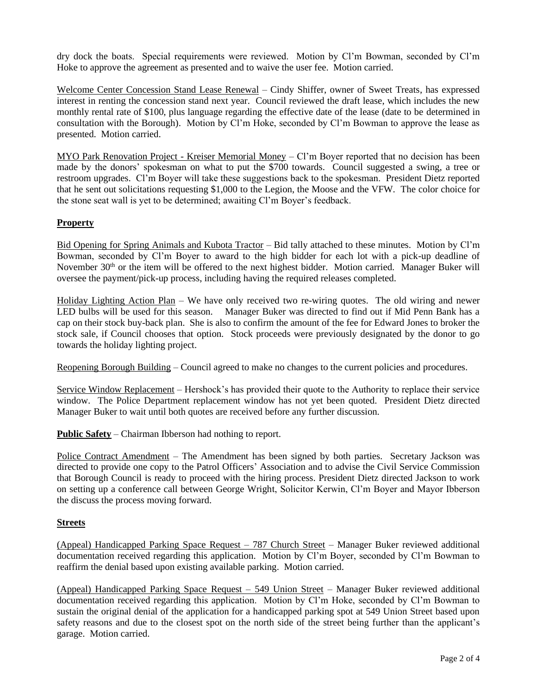dry dock the boats. Special requirements were reviewed. Motion by Cl'm Bowman, seconded by Cl'm Hoke to approve the agreement as presented and to waive the user fee. Motion carried.

Welcome Center Concession Stand Lease Renewal – Cindy Shiffer, owner of Sweet Treats, has expressed interest in renting the concession stand next year. Council reviewed the draft lease, which includes the new monthly rental rate of \$100, plus language regarding the effective date of the lease (date to be determined in consultation with the Borough). Motion by Cl'm Hoke, seconded by Cl'm Bowman to approve the lease as presented. Motion carried.

MYO Park Renovation Project - Kreiser Memorial Money – Cl'm Boyer reported that no decision has been made by the donors' spokesman on what to put the \$700 towards. Council suggested a swing, a tree or restroom upgrades. Cl'm Boyer will take these suggestions back to the spokesman. President Dietz reported that he sent out solicitations requesting \$1,000 to the Legion, the Moose and the VFW. The color choice for the stone seat wall is yet to be determined; awaiting Cl'm Boyer's feedback.

# **Property**

Bid Opening for Spring Animals and Kubota Tractor – Bid tally attached to these minutes. Motion by Cl'm Bowman, seconded by Cl'm Boyer to award to the high bidder for each lot with a pick-up deadline of November 30<sup>th</sup> or the item will be offered to the next highest bidder. Motion carried. Manager Buker will oversee the payment/pick-up process, including having the required releases completed.

Holiday Lighting Action Plan – We have only received two re-wiring quotes. The old wiring and newer LED bulbs will be used for this season. Manager Buker was directed to find out if Mid Penn Bank has a cap on their stock buy-back plan. She is also to confirm the amount of the fee for Edward Jones to broker the stock sale, if Council chooses that option. Stock proceeds were previously designated by the donor to go towards the holiday lighting project.

Reopening Borough Building – Council agreed to make no changes to the current policies and procedures.

Service Window Replacement – Hershock's has provided their quote to the Authority to replace their service window. The Police Department replacement window has not yet been quoted. President Dietz directed Manager Buker to wait until both quotes are received before any further discussion.

**Public Safety** – Chairman Ibberson had nothing to report.

Police Contract Amendment – The Amendment has been signed by both parties. Secretary Jackson was directed to provide one copy to the Patrol Officers' Association and to advise the Civil Service Commission that Borough Council is ready to proceed with the hiring process. President Dietz directed Jackson to work on setting up a conference call between George Wright, Solicitor Kerwin, Cl'm Boyer and Mayor Ibberson the discuss the process moving forward.

#### **Streets**

(Appeal) Handicapped Parking Space Request – 787 Church Street – Manager Buker reviewed additional documentation received regarding this application. Motion by Cl'm Boyer, seconded by Cl'm Bowman to reaffirm the denial based upon existing available parking. Motion carried.

(Appeal) Handicapped Parking Space Request – 549 Union Street – Manager Buker reviewed additional documentation received regarding this application. Motion by Cl'm Hoke, seconded by Cl'm Bowman to sustain the original denial of the application for a handicapped parking spot at 549 Union Street based upon safety reasons and due to the closest spot on the north side of the street being further than the applicant's garage. Motion carried.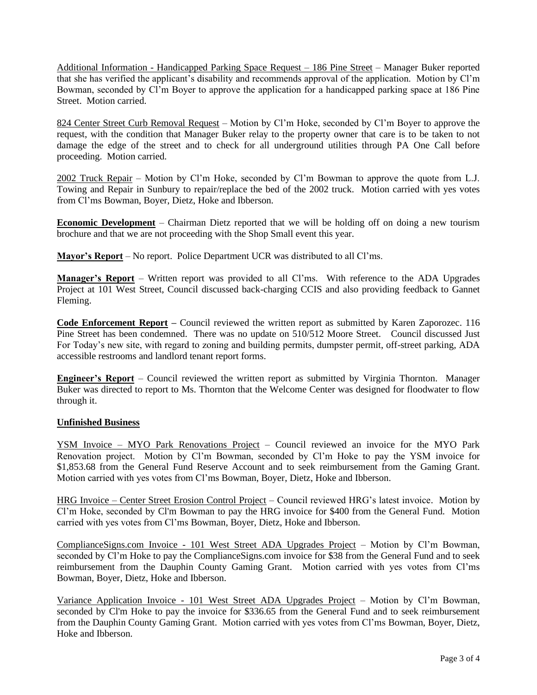Additional Information - Handicapped Parking Space Request – 186 Pine Street – Manager Buker reported that she has verified the applicant's disability and recommends approval of the application. Motion by Cl'm Bowman, seconded by Cl'm Boyer to approve the application for a handicapped parking space at 186 Pine Street. Motion carried.

824 Center Street Curb Removal Request – Motion by Cl'm Hoke, seconded by Cl'm Boyer to approve the request, with the condition that Manager Buker relay to the property owner that care is to be taken to not damage the edge of the street and to check for all underground utilities through PA One Call before proceeding. Motion carried.

2002 Truck Repair – Motion by Cl'm Hoke, seconded by Cl'm Bowman to approve the quote from L.J. Towing and Repair in Sunbury to repair/replace the bed of the 2002 truck. Motion carried with yes votes from Cl'ms Bowman, Boyer, Dietz, Hoke and Ibberson.

**Economic Development** – Chairman Dietz reported that we will be holding off on doing a new tourism brochure and that we are not proceeding with the Shop Small event this year.

**Mayor's Report** – No report. Police Department UCR was distributed to all Cl'ms.

**Manager's Report** – Written report was provided to all Cl'ms. With reference to the ADA Upgrades Project at 101 West Street, Council discussed back-charging CCIS and also providing feedback to Gannet Fleming.

**Code Enforcement Report –** Council reviewed the written report as submitted by Karen Zaporozec. 116 Pine Street has been condemned. There was no update on 510/512 Moore Street. Council discussed Just For Today's new site, with regard to zoning and building permits, dumpster permit, off-street parking, ADA accessible restrooms and landlord tenant report forms.

**Engineer's Report** – Council reviewed the written report as submitted by Virginia Thornton. Manager Buker was directed to report to Ms. Thornton that the Welcome Center was designed for floodwater to flow through it.

#### **Unfinished Business**

YSM Invoice – MYO Park Renovations Project – Council reviewed an invoice for the MYO Park Renovation project. Motion by Cl'm Bowman, seconded by Cl'm Hoke to pay the YSM invoice for \$1,853.68 from the General Fund Reserve Account and to seek reimbursement from the Gaming Grant. Motion carried with yes votes from Cl'ms Bowman, Boyer, Dietz, Hoke and Ibberson.

HRG Invoice – Center Street Erosion Control Project – Council reviewed HRG's latest invoice. Motion by Cl'm Hoke, seconded by Cl'm Bowman to pay the HRG invoice for \$400 from the General Fund. Motion carried with yes votes from Cl'ms Bowman, Boyer, Dietz, Hoke and Ibberson.

ComplianceSigns.com Invoice - 101 West Street ADA Upgrades Project – Motion by Cl'm Bowman, seconded by Cl'm Hoke to pay the ComplianceSigns.com invoice for \$38 from the General Fund and to seek reimbursement from the Dauphin County Gaming Grant. Motion carried with yes votes from Cl'ms Bowman, Boyer, Dietz, Hoke and Ibberson.

Variance Application Invoice - 101 West Street ADA Upgrades Project – Motion by Cl'm Bowman, seconded by Cl'm Hoke to pay the invoice for \$336.65 from the General Fund and to seek reimbursement from the Dauphin County Gaming Grant. Motion carried with yes votes from Cl'ms Bowman, Boyer, Dietz, Hoke and Ibberson.